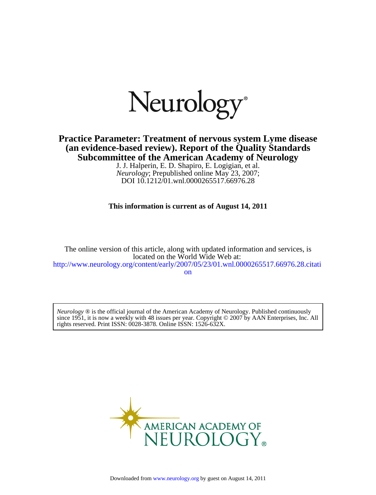

# **Subcommittee of the American Academy of Neurology (an evidence-based review). Report of the Quality Standards Practice Parameter: Treatment of nervous system Lyme disease**

DOI 10.1212/01.wnl.0000265517.66976.28 *Neurology*; Prepublished online May 23, 2007; J. J. Halperin, E. D. Shapiro, E. Logigian, et al.

## **This information is current as of August 14, 2011**

http://www.neurology.org/content/early/2007/05/23/01.wnl.0000265517.66976.28.citati located on the World Wide Web at: The online version of this article, along with updated information and services, is

[on](http://www.neurology.org/content/early/2007/05/23/01.wnl.0000265517.66976.28.citation)

rights reserved. Print ISSN: 0028-3878. Online ISSN: 1526-632X. since 1951, it is now a weekly with 48 issues per year. Copyright © 2007 by AAN Enterprises, Inc. All *Neurology* ® is the official journal of the American Academy of Neurology. Published continuously

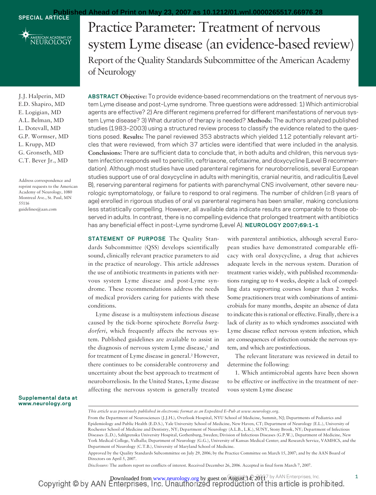#### **SPECIAL ARTICLE Published Ahead of Print on May 23, 2007 as 10.1212/01.wnl.0000265517.66976.28**



J.J. Halperin, MD E.D. Shapiro, MD E. Logigian, MD A.L. Belman, MD L. Dotevall, MD G.P. Wormser, MD L. Krupp, MD G. Gronseth, MD C.T. Bever Jr., MD

Address correspondence and reprint requests to the American Academy of Neurology, 1080 Montreal Ave., St. Paul, MN 55116 guidelines@aan.com

Practice Parameter: Treatment of nervous system Lyme disease (an evidence-based review) Report of the Quality Standards Subcommittee of the American Academy of Neurology

**ABSTRACT Objective:** To provide evidence-based recommendations on the treatment of nervous system Lyme disease and post–Lyme syndrome. Three questions were addressed: 1) Which antimicrobial agents are effective? 2) Are different regimens preferred for different manifestations of nervous system Lyme disease? 3) What duration of therapy is needed? **Methods:** The authors analyzed published studies (1983–2003) using a structured review process to classify the evidence related to the questions posed. **Results:** The panel reviewed 353 abstracts which yielded 112 potentially relevant articles that were reviewed, from which 37 articles were identified that were included in the analysis. **Conclusions:** There are sufficient data to conclude that, in both adults and children, this nervous system infection responds well to penicillin, ceftriaxone, cefotaxime, and doxycycline (Level B recommendation). Although most studies have used parenteral regimens for neuroborreliosis, several European studies support use of oral doxycycline in adults with meningitis, cranial neuritis, and radiculitis (Level B), reserving parenteral regimens for patients with parenchymal CNS involvement, other severe neurologic symptomatology, or failure to respond to oral regimens. The number of children  $(\geq 8$  years of age) enrolled in rigorous studies of oral vs parenteral regimens has been smaller, making conclusions less statistically compelling. However, all available data indicate results are comparable to those observed in adults. In contrast, there is no compelling evidence that prolonged treatment with antibiotics has any beneficial effect in post–Lyme syndrome (Level A). **NEUROLOGY 2007;69:1–1**

**STATEMENT OF PURPOSE** The Quality Standards Subcommittee (QSS) develops scientifically sound, clinically relevant practice parameters to aid in the practice of neurology. This article addresses the use of antibiotic treatments in patients with nervous system Lyme disease and post-Lyme syndrome. These recommendations address the needs of medical providers caring for patients with these conditions.

Lyme disease is a multisystem infectious disease caused by the tick-borne spirochete *Borrelia burgdorferi*, which frequently affects the nervous system. Published guidelines are available to assist in the diagnosis of nervous system Lyme disease, $<sup>1</sup>$  and</sup> for treatment of Lyme disease in general.<sup>2</sup> However, there continues to be considerable controversy and uncertainty about the best approach to treatment of neuroborreliosis. In the United States, Lyme disease affecting the nervous system is generally treated

with parenteral antibiotics, although several European studies have demonstrated comparable efficacy with oral doxycycline, a drug that achieves adequate levels in the nervous system. Duration of treatment varies widely, with published recommendations ranging up to 4 weeks, despite a lack of compelling data supporting courses longer than 2 weeks. Some practitioners treat with combinations of antimicrobials for many months, despite an absence of data to indicate this is rational or effective. Finally, there is a lack of clarity as to which syndromes associated with Lyme disease reflect nervous system infection, which are consequences of infection outside the nervous system, and which are postinfectious.

The relevant literature was reviewed in detail to determine the following:

1. Which antimicrobial agents have been shown to be effective or ineffective in the treatment of nervous system Lyme disease

#### **Supplemental data at www.neurology.org**

From the Department of Neurosciences (J.J.H.), Overlook Hospital, NYU School of Medicine, Summit, NJ; Departments of Pediatrics and Epidemiology and Public Health (E.D.S.), Yale University School of Medicine, New Haven, CT; Department of Neurology (E.L.), University of Rochester School of Medicine and Dentistry, NY; Department of Neurology (A.L.B., L.K.), SUNY, Stony Brook, NY; Department of Infectious Diseases (L.D.), Sahlgrenska University Hospital, Gothenburg, Sweden; Division of Infectious Diseases (G.P.W.), Department of Medicine, New York Medical College, Valhalla; Department of Neurology (G.G.), University of Kansas Medical Center; and Research Service, VAMHCS, and the Department of Neurology (C.T.B.), University of Maryland School of Medicine.

Approved by the Quality Standards Subcommittee on July 29, 2006; by the Practice Committee on March 15, 2007; and by the AAN Board of Directors on April 5, 2007.

*Disclosure:* The authors report no conflicts of interest. Received December 26, 2006. Accepted in final form March 7, 2007.

*This article was previously published in electronic format as an Expedited E–Pub at www.neurology.org.*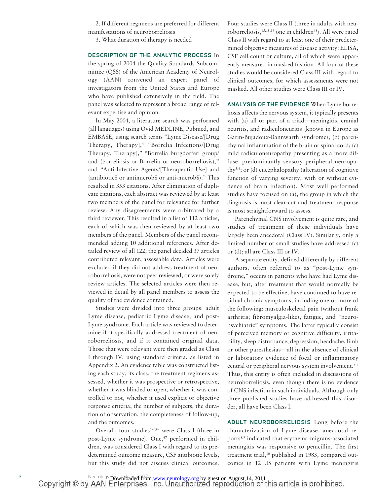2. If different regimens are preferred for different manifestations of neuroborreliosis

3. What duration of therapy is needed

## **DESCRIPTION OF THE ANALYTIC PROCESS** In

the spring of 2004 the Quality Standards Subcommittee (QSS) of the American Academy of Neurology (AAN) convened an expert panel of investigators from the United States and Europe who have published extensively in the field. The panel was selected to represent a broad range of relevant expertise and opinion.

In May 2004, a literature search was performed (all languages) using Ovid MEDLINE, Pubmed, and EMBASE, using search terms "Lyme Disease/[Drug Therapy, Therapy]," "Borrelia Infections/[Drug Therapy, Therapy]," "Borrelia burgdorferi group/ and (borreliosis or Borrelia or neuroborreliosis)," and "Anti-Infective Agents/[Therapeutic Use] and (antibiotic\$ or antimicrob\$ or anti-microb\$)." This resulted in 353 citations. After elimination of duplicate citations, each abstract was reviewed by at least two members of the panel for relevance for further review. Any disagreements were arbitrated by a third reviewer. This resulted in a list of 112 articles, each of which was then reviewed by at least two members of the panel. Members of the panel recommended adding 10 additional references. After detailed review of all 122, the panel decided 37 articles contributed relevant, assessable data. Articles were excluded if they did not address treatment of neuroborreliosis, were not peer reviewed, or were solely review articles. The selected articles were then reviewed in detail by all panel members to assess the quality of the evidence contained.

Studies were divided into three groups: adult Lyme disease, pediatric Lyme disease, and post-Lyme syndrome. Each article was reviewed to determine if it specifically addressed treatment of neuroborreliosis, and if it contained original data. Those that were relevant were then graded as Class I through IV, using standard criteria, as listed in Appendix 2. An evidence table was constructed listing each study, its class, the treatment regimens assessed, whether it was prospective or retrospective, whether it was blinded or open, whether it was controlled or not, whether it used explicit or objective response criteria, the number of subjects, the duration of observation, the completeness of follow-up, and the outcomes.

Overall, four studies<sup>5-7,47</sup> were Class I (three in post-Lyme syndrome). One,<sup>47</sup> performed in children, was considered Class I with regard to its predetermined outcome measure, CSF antibiotic levels, but this study did not discuss clinical outcomes. Four studies were Class II (three in adults with neuroborreliosis,<sup>15,18,19</sup> one in children<sup>48</sup>). All were rated Class II with regard to at least one of their predetermined objective measures of disease activity: ELISA, CSF cell count or culture, all of which were apparently measured in masked fashion. All four of these studies would be considered Class III with regard to clinical outcomes, for which assessments were not masked. All other studies were Class III or IV.

**ANALYSIS OF THE EVIDENCE** When Lyme borreliosis affects the nervous system, it typically presents with (a) all or part of a triad—meningitis, cranial neuritis, and radiculoneuritis (known in Europe as Garin-Bujadoux-Bannwarth syndrome); (b) parenchymal inflammation of the brain or spinal cord; (c) mild radiculoneuropathy presenting as a more diffuse, predominantly sensory peripheral neuropathy3,4; or (d) encephalopathy (alteration of cognitive function of varying severity, with or without evidence of brain infection). Most well performed studies have focused on (a), the group in which the diagnosis is most clear-cut and treatment response is most straightforward to assess.

Parenchymal CNS involvement is quite rare, and studies of treatment of these individuals have largely been anecdotal (Class IV). Similarly, only a limited number of small studies have addressed (c) or (d); all are Class III or IV.

A separate entity, defined differently by different authors, often referred to as "post-Lyme syndrome," occurs in patients who have had Lyme disease, but, after treatment that would normally be expected to be effective, have continued to have residual chronic symptoms, including one or more of the following: musculoskeletal pain (without frank arthritis; fibromyalgia-like), fatigue, and "neuropsychiatric" symptoms. The latter typically consist of perceived memory or cognitive difficulty, irritability, sleep disturbance, depression, headache, limb or other paresthesias—all in the absence of clinical or laboratory evidence of focal or inflammatory central or peripheral nervous system involvement.5-7 Thus, this entity is often included in discussions of neuroborreliosis, even though there is no evidence of CNS infection in such individuals. Although only three published studies have addressed this disorder, all have been Class I.

**ADULT NEUROBORRELIOSIS** Long before the characterization of Lyme disease, anecdotal reports8,9 indicated that erythema migrans-associated meningitis was responsive to penicillin. The first treatment trial,<sup>10</sup> published in 1983, compared outcomes in 12 US patients with Lyme meningitis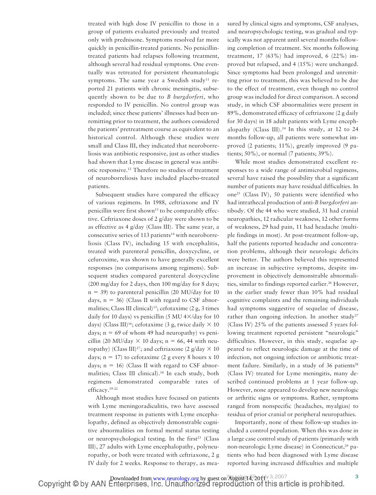treated with high dose IV penicillin to those in a group of patients evaluated previously and treated only with prednisone. Symptoms resolved far more quickly in penicillin-treated patients. No penicillintreated patients had relapses following treatment, although several had residual symptoms. One eventually was retreated for persistent rheumatologic symptoms. The same year a Swedish study<sup>11</sup> reported 21 patients with chronic meningitis, subsequently shown to be due to *B burgdorferi*, who responded to IV penicillin. No control group was included; since these patients' illnesses had been unremitting prior to treatment, the authors considered the patients' pretreatment course as equivalent to an historical control. Although these studies were small and Class III, they indicated that neuroborreliosis was antibiotic responsive, just as other studies had shown that Lyme disease in general was antibiotic responsive.12 Therefore no studies of treatment of neuroborreliosis have included placebo-treated patients.

Subsequent studies have compared the efficacy of various regimens. In 1988, ceftriaxone and IV penicillin were first shown<sup>13</sup> to be comparably effective. Ceftriaxone doses of 2 g/day were shown to be as effective as 4 g/day (Class III). The same year, a consecutive series of  $113$  patients<sup>14</sup> with neuroborreliosis (Class IV), including 15 with encephalitis, treated with parenteral penicillin, doxycycline, or cefuroxime, was shown to have generally excellent responses (no comparisons among regimens). Subsequent studies compared parenteral doxycycline (200 mg/day for 2 days, then 100 mg/day for 8 days;  $n = 39$ ) to parenteral penicillin (20 MU/day for 10 days,  $n = 36$ ) (Class II with regard to CSF abnormalities; Class III clinical)<sup>15</sup>; cefotaxime (2 g, 3 times daily for 10 days) vs penicillin (5 MU 4×/day for 10 days) (Class III)<sup>16</sup>; cefotaxime (3 g, twice daily  $\times$  10 days;  $n = 69$  of whom 49 had neuropathy) vs penicillin (20 MU/day  $\times$  10 days; n = 66, 44 with neuropathy) (Class III)<sup>17</sup>; and ceftriaxone (2 g/day  $\times$  10 days;  $n = 17$ ) to cefotaxime (2 g every 8 hours x 10) days;  $n = 16$ ) (Class II with regard to CSF abnormalities; Class III clinical).<sup>18</sup> In each study, both regimens demonstrated comparable rates of efficacy.19-22

Although most studies have focused on patients with Lyme meningoradiculitis, two have assessed treatment response in patients with Lyme encephalopathy, defined as objectively demonstrable cognitive abnormalities on formal mental status testing or neuropsychological testing. In the first<sup>23</sup> (Class III), 27 adults with Lyme encephalopathy, polyneuropathy, or both were treated with ceftriaxone, 2 g IV daily for 2 weeks. Response to therapy, as measured by clinical signs and symptoms, CSF analyses, and neuropsychologic testing, was gradual and typically was not apparent until several months following completion of treatment. Six months following treatment,  $17$  ( $63\%$ ) had improved,  $6$  ( $22\%$ ) improved but relapsed, and 4 (15%) were unchanged. Since symptoms had been prolonged and unremitting prior to treatment, this was believed to be due to the effect of treatment, even though no control group was included for direct comparison. A second study, in which CSF abnormalities were present in 89%, demonstrated efficacy of ceftriaxone (2 g daily for 30 days) in 18 adult patients with Lyme encephalopathy (Class III).<sup>24</sup> In this study, at 12 to 24 months follow-up, all patients were somewhat improved (2 patients; 11%), greatly improved (9 patients; 50%), or normal (7 patients; 39%).

While most studies demonstrated excellent responses to a wide range of antimicrobial regimens, several have raised the possibility that a significant number of patients may have residual difficulties. In one25 (Class IV), 50 patients were identified who had intrathecal production of anti-*B burgdorferi* antibody. Of the 44 who were studied, 31 had cranial neuropathies, 12 radicular weakness, 12 other forms of weakness, 29 had pain, 11 had headache (multiple findings in most). At post-treatment follow-up, half the patients reported headache and concentration problems, although their neurologic deficits were better. The authors believed this represented an increase in subjective symptoms, despite improvement in objectively demonstrable abnormalities, similar to findings reported earlier.<sup>26</sup> However, in the earlier study fewer than 10% had residual cognitive complaints and the remaining individuals had symptoms suggestive of sequelae of disease, rather than ongoing infection. In another study<sup>27</sup> (Class IV) 25% of the patients assessed 5 years following treatment reported persistent "neurologic" difficulties. However, in this study, sequelae appeared to reflect neurologic damage at the time of infection, not ongoing infection or antibiotic treatment failure. Similarly, in a study of  $36$  patients<sup>28</sup> (Class IV) treated for Lyme meningitis, many described continued problems at 1 year follow-up. However, none appeared to develop new neurologic or arthritic signs or symptoms. Rather, symptoms ranged from nonspecific (headaches, myalgias) to residua of prior cranial or peripheral neuropathies.

Importantly, none of these follow-up studies included a control population. When this was done in a large case control study of patients (primarily with non-neurologic Lyme disease) in Connecticut,<sup>29</sup> patients who had been diagnosed with Lyme disease reported having increased difficulties and multiple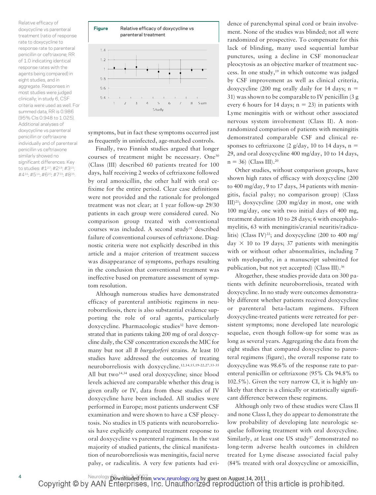Relative efficacy of doxycycline vs parenteral treatment (ratio of response rate to doxycycline to response rate to parenteral penicillin or ceftriaxone; RR of 1.0 indicating identical response rates with the agents being compared) in eight studies, and in aggregate. Responses in most studies were judged clinically; in study 6, CSF criteria were used as well. For summed data, RR is 0.986 (95% CIs 0.948 to 1.025). Additional analyses of doxycycline vs parenteral penicillin or ceftriaxone individually and of parenteral penicillin vs ceftriaxone similarly showed no significant differences. Key to studies: #127; #219; #315; #434; #514; #620; #733; #835.



symptoms, but in fact these symptoms occurred just as frequently in uninfected, age-matched controls.

Finally, two Finnish studies argued that longer courses of treatment might be necessary. One<sup>30</sup> (Class (III) described 60 patients treated for 100 days, half receiving 2 weeks of ceftriaxone followed by oral amoxicillin, the other half with oral cefixime for the entire period. Clear case definitions were not provided and the rationale for prolonged treatment was not clear; at 1 year follow-up 29/30 patients in each group were considered cured. No comparison group treated with conventional courses was included. A second study<sup>31</sup> described failure of conventional courses of ceftriaxone. Diagnostic criteria were not explicitly described in this article and a major criterion of treatment success was disappearance of symptoms, perhaps resulting in the conclusion that conventional treatment was ineffective based on premature assessment of symptom resolution.

Although numerous studies have demonstrated efficacy of parenteral antibiotic regimens in neuroborreliosis, there is also substantial evidence supporting the role of oral agents, particularly doxycycline. Pharmacologic studies<sup>32</sup> have demonstrated that in patients taking 200 mg of oral doxycycline daily, the CSF concentration exceeds the MIC for many but not all *B burgdorferi* strains. At least 10 studies have addressed the outcomes of treating neuroborreliosis with doxycycline.12,14,15,19-22,27,33-35 All but two<sup>14,34</sup> used oral doxycycline; since blood levels achieved are comparable whether this drug is given orally or IV, data from these studies of IV doxycycline have been included. All studies were performed in Europe; most patients underwent CSF examination and were shown to have a CSF pleocytosis. No studies in US patients with neuroborreliosis have explicitly compared treatment response to oral doxycycline vs parenteral regimens. In the vast majority of studied patients, the clinical manifestation of neuroborreliosis was meningitis, facial nerve palsy, or radiculitis. A very few patients had evidence of parenchymal spinal cord or brain involvement. None of the studies was blinded; not all were randomized or prospective. To compensate for this lack of blinding, many used sequential lumbar punctures, using a decline in CSF mononuclear pleocytosis as an objective marker of treatment success. In one study,<sup>19</sup> in which outcome was judged by CSF improvement as well as clinical criteria, doxycycline (200 mg orally daily for 14 days;  $n =$ 31) was shown to be comparable to IV penicillin (3 g every 6 hours for 14 days;  $n = 23$ ) in patients with Lyme meningitis with or without other associated nervous system involvement (Class II). A nonrandomized comparison of patients with meningitis demonstrated comparable CSF and clinical responses to ceftriaxone (2 g/day, 10 to 14 days,  $n =$ 29, and oral doxycycline 400 mg/day, 10 to 14 days,  $n = 36$  (Class III).<sup>20</sup>

Other studies, without comparison groups, have shown high rates of efficacy with doxycycline (200 to 400 mg/day, 9 to 17 days, 34 patients with meningitis, facial palsy; no comparison group) (Class III)21; doxycycline (200 mg/day in most, one with 100 mg/day, one with two initial days of 400 mg, treatment duration 10 to 28 days; 6 with encephalomyelitis, 63 with meningitis/cranial neuritis/radiculitis) (Class IV)<sup>22</sup>; and doxycycline (200 to 400 mg/ day  $\times$  10 to 19 days; 37 patients with meningitis with or without other abnormalities, including 7 with myelopathy, in a manuscript submitted for publication, but not yet accepted) (Class III).<sup>36</sup>

Altogether, these studies provide data on 300 patients with definite neuroborreliosis, treated with doxycycline. In no study were outcomes demonstrably different whether patients received doxycycline or parenteral beta-lactam regimens. Fifteen doxycycline-treated patients were retreated for persistent symptoms; none developed late neurologic sequelae, even though follow-up for some was as long as several years. Aggregating the data from the eight studies that compared doxycycline to parenteral regimens (figure), the overall response rate to doxycycline was 98.6% of the response rate to parenteral penicillin or ceftriaxone (95% CIs 94.8% to 102.5%). Given the very narrow CI, it is highly unlikely that there is a clinically or statistically significant difference between these regimens.

Although only two of these studies were Class II and none Class I, they do appear to demonstrate the low probability of developing late neurologic sequelae following treatment with oral doxycycline. Similarly, at least one US study<sup>37</sup> demonstrated no long-term adverse health outcomes in children treated for Lyme disease associated facial palsy (84% treated with oral doxycycline or amoxicillin,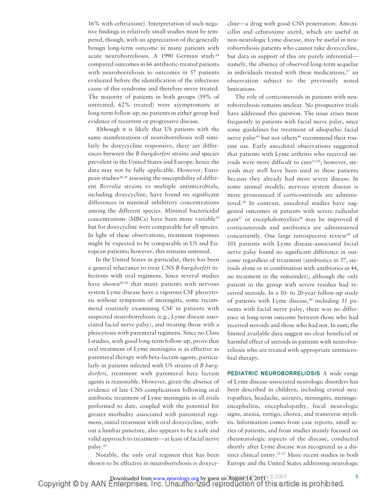16% with ceftriaxone). Interpretation of such negative findings in relatively small studies must be tempered, though, with an appreciation of the generally benign long-term outcome in many patients with acute neuroborreliosis. A 1990 German study34 compared outcomes in 66 antibiotic-treated patients with neuroborreliosis to outcomes in 57 patients evaluated before the identification of the infectious cause of this syndrome and therefore never treated. The majority of patients in both groups (59% of untreated, 62% treated) were asymptomatic at long-term follow up; no patients in either group had evidence of recurrent or progressive disease.

Although it is likely that US patients with the same manifestations of neuroborreliosis will similarly be doxycycline responsive, there are differences between the *B burgdorferi* strains and species prevalent in the United States and Europe; hence the data may not be fully applicable. However, European studies<sup>38,39</sup> assessing the susceptibility of different *Borrelia* strains to multiple antimicrobials, including doxycycline, have found no significant differences in minimal inhibitory concentrations among the different species. Minimal bactericidal concentrations (MBCs) have been more variable<sup>39</sup> but for doxycycline were comparable for all species. In light of these observations, treatment responses might be expected to be comparable in US and European patients; however, this remains untested.

In the United States in particular, there has been a general reluctance to treat CNS *B burgdorferi* infections with oral regimens. Since several studies have shown<sup>40,41</sup> that many patients with nervous system Lyme disease have a vigorous CSF pleocytosis without symptoms of meningitis, some recommend routinely examining CSF in patients with suspected neuroborreliosis (e.g., Lyme disease associated facial nerve palsy), and treating those with a pleocytosis with parenteral regimens. Since no Class I studies, with good long-term follow-up, prove that oral treatment of Lyme meningitis is as effective as parenteral therapy with beta-lactam agents, particularly in patients infected with US strains of *B burgdorferi*, treatment with parenteral beta lactam agents is reasonable. However, given the absence of evidence of late CNS complications following oral antibiotic treatment of Lyme meningitis in all trials performed to date, coupled with the potential for greater morbidity associated with parenteral regimens, initial treatment with oral doxycycline, without a lumbar puncture, also appears to be a safe and valid approach to treatment—at least of facial nerve palsy.42

Notably, the only oral regimen that has been shown to be effective in neuroborreliosis is doxycycline—a drug with good CNS penetration. Amoxicillin and cefuroxime axetil, which are useful in non-neurologic Lyme disease, may be useful in neuroborreliosis patients who cannot take doxycycline, but data in support of this are purely inferential namely, the absence of observed long-term sequelae in individuals treated with these medications, $37$  an observation subject to the previously noted limitations.

The role of corticosteroids in patients with neuroborreliosis remains unclear. No prospective trials have addressed this question. The issue arises most frequently in patients with facial nerve palsy, since some guidelines for treatment of idiopathic facial nerve palsy<sup>43</sup> but not others<sup>44</sup> recommend their routine use. Early anecdotal observations suggested that patients with Lyme arthritis who received steroids were more difficult to cure<sup>13,45</sup>; however, steroids may well have been used in these patients because they already had more severe disease. In some animal models, nervous system disease is more pronounced if corticosteroids are administered.46 In contrast, anecdotal studies have suggested outcomes in patients with severe radicular pain<sup>47</sup> or encephalomyelitis<sup>48</sup> may be improved if corticosteroids and antibiotics are administered concurrently. One large retrospective review<sup>49</sup> of 101 patients with Lyme disease-associated facial nerve palsy found no significant difference in outcome regardless of treatment (antibiotics in 37, steroids alone or in combination with antibiotics in 44, no treatment in the remainder), although the only patient in the group with severe residua had received steroids. In a 10- to 20-year follow-up study of patients with Lyme disease,<sup>50</sup> including 31 patients with facial nerve palsy, there was no difference in long-term outcome between those who had received steroids and those who had not. In sum, the limited available data suggest no clear beneficial or harmful effect of steroids in patients with neuroborreliosis who are treated with appropriate antimicrobial therapy.

**PEDIATRIC NEUROBORRELIOSIS** A wide range of Lyme disease-associated neurologic disorders has been described in children, including cranial neuropathies, headache, seizures, meningitis, meningoencephalitis, encephalopathy, focal neurologic signs, ataxia, vertigo, chorea, and transverse myelitis. Information comes from case reports, small series of patients, and from studies mainly focused on rheumatologic aspects of the disease, conducted shortly after Lyme disease was recognized as a distinct clinical entity.<sup>51-53</sup> More recent studies in both Europe and the United States addressing neurologic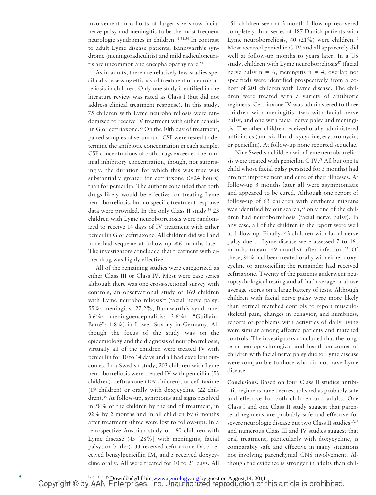involvement in cohorts of larger size show facial nerve palsy and meningitis to be the most frequent neurologic syndromes in children.41,51,54 In contrast to adult Lyme disease patients, Bannwarth's syndrome (meningoradiculitis) and mild radiculoneuritis are uncommon and encephalopathy rare.<sup>51</sup>

As in adults, there are relatively few studies specifically assessing efficacy of treatment of neuroborreliosis in children. Only one study identified in the literature review was rated as Class I (but did not address clinical treatment response). In this study, 75 children with Lyme neuroborreliosis were randomized to receive IV treatment with either penicillin G or ceftriaxone.<sup>55</sup> On the 10th day of treatment, paired samples of serum and CSF were tested to determine the antibiotic concentration in each sample. CSF concentrations of both drugs exceeded the minimal inhibitory concentration, though, not surprisingly, the duration for which this was true was substantially greater for ceftriaxone  $(>24$  hours) than for penicillin. The authors concluded that both drugs likely would be effective for treating Lyme neuroborreliosis, but no specific treatment response data were provided. In the only Class II study,  $56$  23 children with Lyme neuroborreliosis were randomized to receive 14 days of IV treatment with either penicillin G or ceftriaxone. All children did well and none had sequelae at follow-up  $\geq 6$  months later. The investigators concluded that treatment with either drug was highly effective.

All of the remaining studies were categorized as either Class III or Class IV. Most were case series although there was one cross-sectional survey with controls, an observational study of 169 children with Lyme neuroborreliosis<sup>54</sup> (facial nerve palsy: 55%; meningitis: 27.2%; Bannwarth's syndrome: 3.6%; meningoencephalitis: 3.6%; "Guillain-Barré": 1.8%) in Lower Saxony in Germany. Although the focus of the study was on the epidemiology and the diagnosis of neuroborreliosis, virtually all of the children were treated IV with penicillin for 10 to 14 days and all had excellent outcomes. In a Swedish study, 203 children with Lyme neuroborreliosis were treated IV with penicillin (53 children), ceftriaxone (109 children), or cefotaxime (19 children) or orally with doxycycline (22 children).35 At follow-up, symptoms and signs resolved in 58% of the children by the end of treatment, in 92% by 2 months and in all children by 6 months after treatment (three were lost to follow-up). In a retrospective Austrian study of 160 children with Lyme disease (45 [28%] with meningitis, facial palsy, or both<sup>33</sup>), 33 received ceftriaxone IV, 7 received benzylpenicillin IM, and 5 received doxycycline orally. All were treated for 10 to 21 days. All 151 children seen at 3-month follow-up recovered completely. In a series of 187 Danish patients with Lyme neuroborreliosis, 40 (21%) were children.<sup>40</sup> Most received penicillin G IV and all apparently did well at follow-up months to years later. In a US study, children with Lyme neuroborreliosis<sup>57</sup> (facial nerve palsy  $n = 6$ ; meningitis  $n = 4$ , overlap not specified) were identified prospectively from a cohort of 201 children with Lyme disease. The children were treated with a variety of antibiotic regimens. Ceftriaxone IV was administered to three children with meningitis, two with facial nerve palsy, and one with facial nerve palsy and meningitis. The other children received orally administered antibiotics (amoxicillin, doxycycline, erythromycin, or penicillin). At follow-up none reported sequelae.

Nine Swedish children with Lyme neuroborreliosis were treated with penicillin G IV.<sup>58</sup> All but one (a child whose facial palsy persisted for 3 months) had prompt improvement and cure of their illnesses. At follow-up 3 months later all were asymptomatic and appeared to be cured. Although one report of follow-up of 63 children with erythema migrans was identified by our search,<sup>53</sup> only one of the children had neuroborreliosis (facial nerve palsy). In any case, all of the children in the report were well at follow-up. Finally, 43 children with facial nerve palsy due to Lyme disease were assessed 7 to 161 months (mean: 49 months) after infection.37 Of these, 84% had been treated orally with either doxycycline or amoxicillin; the remainder had received ceftriaxone. Twenty of the patients underwent neuropsychological testing and all had average or above average scores on a large battery of tests. Although children with facial nerve palsy were more likely than normal matched controls to report musculoskeletal pain, changes in behavior, and numbness, reports of problems with activities of daily living were similar among affected patients and matched controls. The investigators concluded that the longterm neuropsychological and health outcomes of children with facial nerve palsy due to Lyme disease were comparable to those who did not have Lyme disease.

**Conclusions.** Based on four Class II studies antibiotic regimens have been established as probably safe and effective for both children and adults. One Class I and one Class II study suggest that parenteral regimens are probably safe and effective for severe neurologic disease but two Class II studies<sup>15,19</sup> and numerous Class III and IV studies suggest that oral treatment, particularly with doxycycline, is comparably safe and effective in many situations not involving parenchymal CNS involvement. Although the evidence is stronger in adults than chil-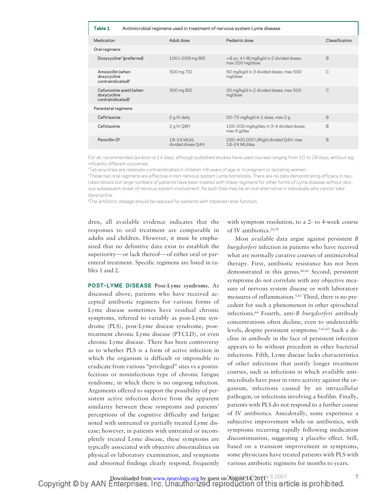| Table 1<br>Antimicrobial regimens used in treatment of nervous system Lyme disease |                                  |                                                                    |                |  |
|------------------------------------------------------------------------------------|----------------------------------|--------------------------------------------------------------------|----------------|--|
| Medication                                                                         | Adult dose                       | Pediatric dose                                                     | Classification |  |
| Oral regimens                                                                      |                                  |                                                                    |                |  |
| Doxycycline* (preferred)                                                           | 100 (-200) mg BID                | $\geq$ 8 yo: 4 (-8) mg/kg/d in 2 divided doses;<br>max 200 mg/dose | B              |  |
| Amoxicillin (when<br>doxycycline<br>contraindicated) <sup>+</sup>                  | 500 mg TID                       | 50 mg/kg/d in 3 divided doses; max 500<br>mg/dose                  | C              |  |
| Cefuroxime axetil (when<br>doxycycline<br>contraindicated) <sup>+</sup>            | 500 mg BID                       | 30 mg/kg/d in 2 divided doses; max 500<br>mg/dose                  | C              |  |
| Parenteral regimens                                                                |                                  |                                                                    |                |  |
| Ceftriaxone                                                                        | 2 g IV daily                     | 50-75 mg/kg/d in 1 dose, max 2 g                                   | B              |  |
| Cefotaxime                                                                         | 2 g IV Q8H                       | 150-200 mg/kg/day in 3-4 divided doses;<br>max 6 g/day             | B              |  |
| Penicillin G <sup>#</sup>                                                          | 18-24 MU/d,<br>divided doses Q4H | 200-400,000 U/Kg/d divided Q4H, max<br>18-24 MU/day                | B              |  |

For all, recommended duration is 14 days, although published studies have used courses ranging from 10 to 28 days, without significantly different outcomes.

\*Tetracyclines are relatively contraindicated in children <8 years of age or in pregnant or lactating women.

†These two oral regimens are effective in non-nervous system Lyme borreliosis. There are no data demonstrating efficacy in neuroborreliosis but large numbers of patients have been treated with these regimens for other forms of Lyme disease without obvious subsequent onset of nervous system involvement. As such they may be an oral alternative in individuals who cannot take doxycycline.

‡The antibiotic dosage should be reduced for patients with impaired renal function.

dren, all available evidence indicates that the responses to oral treatment are comparable in adults and children. However, it must be emphasized that no definitive data exist to establish the superiority— or lack thereof— of either oral or parenteral treatment. Specific regimens are listed in tables 1 and 2.

**POST–LYME DISEASE Post-Lyme syndrome.** As discussed above, patients who have received accepted antibiotic regimens for various forms of Lyme disease sometimes have residual chronic symptoms, referred to variably as post-Lyme syndrome (PLS), post-Lyme disease syndrome, posttreatment chronic Lyme disease (PTCLD), or even chronic Lyme disease. There has been controversy as to whether PLS is a form of active infection in which the organism is difficult or impossible to eradicate from various "privileged" sites vs a postinfectious or noninfectious type of chronic fatigue syndrome, in which there is no ongoing infection. Arguments offered to support the possibility of persistent active infection derive from the apparent similarity between these symptoms and patients' perceptions of the cognitive difficulty and fatigue noted with untreated or partially treated Lyme disease; however, in patients with untreated or incompletely treated Lyme disease, these symptoms are typically associated with objective abnormalities on physical or laboratory examination, and symptoms and abnormal findings clearly respond, frequently

with symptom resolution, to a 2- to 4-week course of IV antibiotics.24,59

Most available data argue against persistent *B burgdorferi* infection in patients who have received what are normally curative courses of antimicrobial therapy. First, antibiotic resistance has not been demonstrated in this genus.60-62 Second, persistent symptoms do not correlate with any objective measure of nervous system disease or with laboratory measures of inflammation.5,63 Third, there is no precedent for such a phenomenon in other spirochetal infections.64 Fourth, anti-*B burgdorferi* antibody concentrations often decline, even to undetectable levels, despite persistent symptoms.5,63,65 Such a decline in antibody in the face of persistent infection appears to be without precedent in other bacterial infections. Fifth, Lyme disease lacks characteristics of other infections that justify longer treatment courses, such as infections in which available antimicrobials have poor in vitro activity against the organism, infections caused by an intracellular pathogen, or infections involving a biofilm. Finally, patients with PLS do not respond to a further course of IV antibiotics. Anecdotally, some experience a subjective improvement while on antibiotics, with symptoms recurring rapidly following medication discontinuation, suggesting a placebo effect. Still, based on a transient improvement in symptoms, some physicians have treated patients with PLS with various antibiotic regimens for months to years.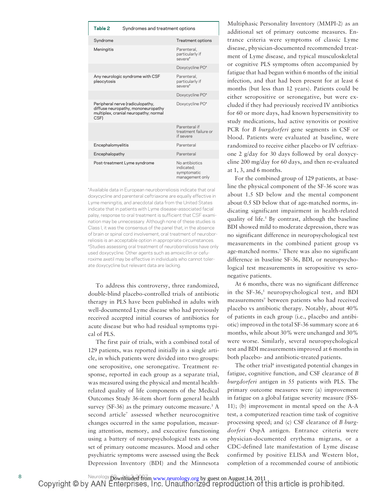| Table 2                                                                                                                 | Syndromes and treatment options  |                                                                |
|-------------------------------------------------------------------------------------------------------------------------|----------------------------------|----------------------------------------------------------------|
| Syndrome                                                                                                                |                                  | <b>Treatment options</b>                                       |
| Meningitis                                                                                                              |                                  | Parenteral.<br>particularly if<br>severe*                      |
|                                                                                                                         |                                  | Doxycycline PO <sup>+</sup>                                    |
| pleocytosis                                                                                                             | Any neurologic syndrome with CSF | Parenteral.<br>particularly if<br>severe*                      |
|                                                                                                                         |                                  | Doxycycline PO <sup>+</sup>                                    |
| Peripheral nerve (radiculopathy,<br>diffuse neuropathy, mononeuropathy<br>multiplex, cranial neuropathy; normal<br>CSF) |                                  | Doxycycline PO <sup>+</sup>                                    |
|                                                                                                                         |                                  | Parenteral if<br>treatment failure or<br>if severe             |
| Encephalomyelitis                                                                                                       |                                  | Parenteral                                                     |
| Encephalopathy                                                                                                          |                                  | Parenteral                                                     |
|                                                                                                                         | Post-treatment Lyme syndrome     | No antibiotics<br>indicated;<br>symptomatic<br>management only |

\*Available data in European neuroborreliosis indicate that oral doxycycline and parenteral ceftriaxone are equally effective in Lyme meningitis, and anecdotal data from the United States indicate that in patients with Lyme disease–associated facial palsy, response to oral treatment is sufficient that CSF examination may be unnecessary. Although none of these studies is Class I, it was the consensus of the panel that, in the absence of brain or spinal cord involvement, oral treatment of neuroborreliosis is an acceptable option in appropriate circumstances. †Studies assessing oral treatment of neuroborreliosis have only used doxycycline. Other agents such as amoxicillin or cefuroxime axetil may be effective in individuals who cannot tolerate doxycycline but relevant data are lacking.

To address this controversy, three randomized, double-blind placebo-controlled trials of antibiotic therapy in PLS have been published in adults with well-documented Lyme disease who had previously received accepted initial courses of antibiotics for acute disease but who had residual symptoms typical of PLS.

The first pair of trials, with a combined total of 129 patients, was reported initially in a single article, in which patients were divided into two groups: one seropositive, one seronegative. Treatment response, reported in each group as a separate trial, was measured using the physical and mental healthrelated quality of life components of the Medical Outcomes Study 36-item short form general health survey (SF-36) as the primary outcome measure.<sup>5</sup> A second article<sup>7</sup> assessed whether neurocognitive changes occurred in the same population, measuring attention, memory, and executive functioning using a battery of neuropsychological tests as one set of primary outcome measures. Mood and other psychiatric symptoms were assessed using the Beck Depression Inventory (BDI) and the Minnesota Multiphasic Personality Inventory (MMPI-2) as an additional set of primary outcome measures. Entrance criteria were symptoms of classic Lyme disease, physician-documented recommended treatment of Lyme disease, and typical musculoskeletal or cognitive PLS symptoms often accompanied by fatigue that had begun within 6 months of the initial infection, and that had been present for at least 6 months (but less than 12 years). Patients could be either seropositive or seronegative, but were excluded if they had previously received IV antibiotics for 60 or more days, had known hypersensitivity to study medications, had active synovitis or positive PCR for *B burgdorferi* gene segments in CSF or blood. Patients were evaluated at baseline, were randomized to receive either placebo or IV ceftriaxone 2 g/day for 30 days followed by oral doxycycline 200 mg/day for 60 days, and then re-evaluated at 1, 3, and 6 months.

For the combined group of 129 patients, at baseline the physical component of the SF-36 score was about 1.5 SD below and the mental component about 0.5 SD below that of age-matched norms, indicating significant impairment in health-related quality of life.5 By contrast, although the baseline BDI showed mild to moderate depression, there was no significant difference in neuropsychological test measurements in the combined patient group vs age-matched norms.7 There was also no significant difference in baseline SF-36, BDI, or neuropsychological test measurements in seropositive vs seronegative patients.

At 6 months, there was no significant difference in the SF-36,<sup>5</sup> neuropsychological test, and BDI measurements7 between patients who had received placebo vs antibiotic therapy. Notably, about 40% of patients in each group (i.e., placebo and antibiotic) improved in the total SF-36 summary score at 6 months, while about 30% were unchanged and 30% were worse. Similarly, several neuropsychological test and BDI measurements improved at 6 months in both placebo- and antibiotic-treated patients.

The other trial<sup>6</sup> investigated potential changes in fatigue, cognitive function, and CSF clearance of *B burgdorferi* antigen in 55 patients with PLS. The primary outcome measures were (a) improvement in fatigue on a global fatigue severity measure (FSS-11); (b) improvement in mental speed on the A-A test, a computerized reaction time task of cognitive processing speed; and (c) CSF clearance of *B burgdorferi* OspA antigen. Entrance criteria were physician-documented erythema migrans, or a CDC-defined late manifestation of Lyme disease confirmed by positive ELISA and Western blot, completion of a recommended course of antibiotic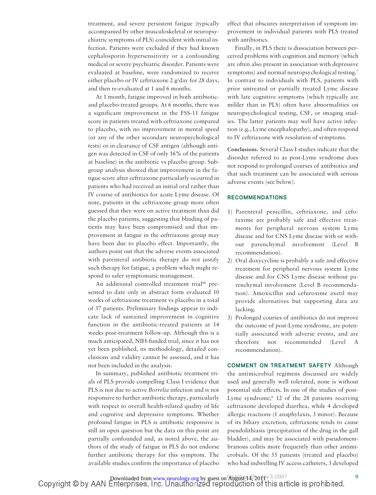treatment, and severe persistent fatigue (typically accompanied by other musculoskeletal or neuropsychiatric symptoms of PLS) coincident with initial infection. Patients were excluded if they had known cephalosporin hypersensitivity or a confounding medical or severe psychiatric disorder. Patients were evaluated at baseline, were randomized to receive either placebo or IV ceftriaxone 2 g/day for 28 days, and then re-evaluated at 1 and 6 months.

At 1 month, fatigue improved in both antibioticand placebo-treated groups. At 6 months, there was a significant improvement in the FSS-11 fatigue score in patients treated with ceftriaxone compared to placebo, with no improvement in mental speed (or any of the other secondary neuropsychological tests) or in clearance of CSF antigen (although antigen was detected in CSF of only 16% of the patients at baseline) in the antibiotic vs placebo group. Subgroup analysis showed that improvement in the fatigue score after ceftriaxone particularly occurred in patients who had received an initial oral rather than IV course of antibiotics for acute Lyme disease. Of note, patients in the ceftriaxone group more often guessed that they were on active treatment than did the placebo patients, suggesting that blinding of patients may have been compromised and that improvement in fatigue in the ceftriaxone group may have been due to placebo effect. Importantly, the authors point out that the adverse events associated with parenteral antibiotic therapy do not justify such therapy for fatigue, a problem which might respond to safer symptomatic management.

An additional controlled treatment trial<sup>66</sup> presented to date only in abstract form evaluated 10 weeks of ceftriaxone treatment vs placebo in a total of 37 patients. Preliminary findings appear to indicate lack of sustained improvement in cognitive function in the antibiotic-treated patients at 14 weeks post-treatment follow-up. Although this is a much anticipated, NIH-funded trial, since it has not yet been published, its methodology, detailed conclusions and validity cannot be assessed, and it has not been included in the analysis.

In summary, published antibiotic treatment trials of PLS provide compelling Class I evidence that PLS is not due to active *Borrelia* infection and is not responsive to further antibiotic therapy, particularly with respect to overall health-related quality of life and cognitive and depressive symptoms. Whether profound fatigue in PLS is antibiotic responsive is still an open question but the data on this point are partially confounded and, as noted above, the authors of the study of fatigue in PLS do not endorse further antibiotic therapy for this symptom. The available studies confirm the importance of placebo

effect that obscures interpretation of symptom improvement in individual patients with PLS treated with antibiotics.

Finally, in PLS there is dissociation between perceived problems with cognition and memory (which are often also present in association with depressive symptoms) and normal neuropsychological testing.7 In contrast to individuals with PLS, patients with prior untreated or partially treated Lyme disease with late cognitive symptoms (which typically are milder than in PLS) often have abnormalities on neuropsychological testing, CSF, or imaging studies. The latter patients may well have active infection (e.g., Lyme encephalopathy), and often respond to IV ceftriaxone with resolution of symptoms.

**Conclusions.** Several Class I studies indicate that the disorder referred to as post-Lyme syndrome does not respond to prolonged courses of antibiotics and that such treatment can be associated with serious adverse events (see below).

## **RECOMMENDATIONS**

- 1) Parenteral penicillin, ceftriaxone, and cefotaxime are probably safe and effective treatments for peripheral nervous system Lyme disease and for CNS Lyme disease with or without parenchymal involvement (Level B recommendation).
- 2) Oral doxycycline is probably a safe and effective treatment for peripheral nervous system Lyme disease and for CNS Lyme disease without parenchymal involvement (Level B recommendation). Amoxicillin and cefuroxime axetil may provide alternatives but supporting data are lacking.
- 3) Prolonged courses of antibiotics do not improve the outcome of post-Lyme syndrome, are potentially associated with adverse events, and are therefore not recommended (Level A recommendation).

**COMMENT ON TREATMENT SAFETY** Although the antimicrobial regimens discussed are widely used and generally well tolerated, none is without potential side effects. In one of the studies of post-Lyme syndrome,<sup>6</sup> 12 of the 28 patients receiving ceftriaxone developed diarrhea, while 4 developed allergic reactions (1 anaphylaxis, 3 minor). Because of its biliary excretion, ceftriaxone tends to cause pseudolithiasis (precipitation of the drug in the gall bladder), and may be associated with pseudomembranous colitis more frequently than other antimicrobials. Of the 55 patients (treated and placebo) who had indwelling IV access catheters, 3 developed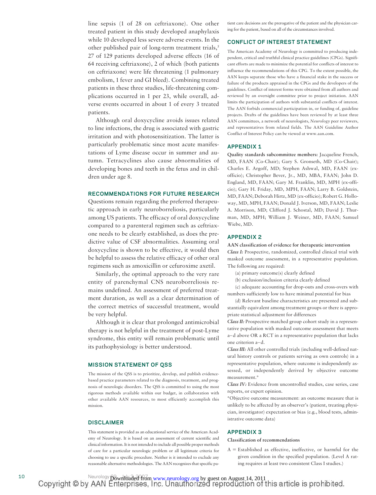line sepsis (1 of 28 on ceftriaxone). One other treated patient in this study developed anaphylaxis while 10 developed less severe adverse events. In the other published pair of long-term treatment trials,<sup>5</sup> 27 of 129 patients developed adverse effects (16 of 64 receiving ceftriaxone), 2 of which (both patients on ceftriaxone) were life threatening (1 pulmonary embolism, 1 fever and GI bleed). Combining treated patients in these three studies, life-threatening complications occurred in 1 per 23, while overall, adverse events occurred in about 1 of every 3 treated patients.

Although oral doxycycline avoids issues related to line infections, the drug is associated with gastric irritation and with photosensitization. The latter is particularly problematic since most acute manifestations of Lyme disease occur in summer and autumn. Tetracyclines also cause abnormalities of developing bones and teeth in the fetus and in children under age 8.

## **RECOMMENDATIONS FOR FUTURE RESEARCH**

Questions remain regarding the preferred therapeutic approach in early neuroborreliosis, particularly among US patients. The efficacy of oral doxycycline compared to a parenteral regimen such as ceftriaxone needs to be clearly established, as does the predictive value of CSF abnormalities. Assuming oral doxycycline is shown to be effective, it would then be helpful to assess the relative efficacy of other oral regimens such as amoxicillin or cefuroxime axetil.

Similarly, the optimal approach to the very rare entity of parenchymal CNS neuroborreliosis remains undefined. An assessment of preferred treatment duration, as well as a clear determination of the correct metrics of successful treatment, would be very helpful.

Although it is clear that prolonged antimicrobial therapy is not helpful in the treatment of post-Lyme syndrome, this entity will remain problematic until its pathophysiology is better understood.

### **MISSION STATEMENT OF QSS**

The mission of the QSS is to prioritize, develop, and publish evidencebased practice parameters related to the diagnosis, treatment, and prognosis of neurologic disorders. The QSS is committed to using the most rigorous methods available within our budget, in collaboration with other available AAN resources, to most efficiently accomplish this mission.

#### **DISCLAIMER**

This statement is provided as an educational service of the American Academy of Neurology. It is based on an assessment of current scientific and clinical information. It is not intended to include all possible proper methods of care for a particular neurologic problem or all legitimate criteria for choosing to use a specific procedure. Neither is it intended to exclude any reasonable alternative methodologies. The AAN recognizes that specific patient care decisions are the prerogative of the patient and the physician caring for the patient, based on all of the circumstances involved.

### **CONFLICT OF INTEREST STATEMENT**

The American Academy of Neurology is committed to producing independent, critical and truthful clinical practice guidelines (CPGs). Significant efforts are made to minimize the potential for conflicts of interest to influence the recommendations of this CPG. To the extent possible, the AAN keeps separate those who have a financial stake in the success or failure of the products appraised in the CPGs and the developers of the guidelines. Conflict of interest forms were obtained from all authors and reviewed by an oversight committee prior to project initiation. AAN limits the participation of authors with substantial conflicts of interest. The AAN forbids commercial participation in, or funding of, guideline projects. Drafts of the guidelines have been reviewed by at least three AAN committees, a network of neurologists, *Neurology* peer reviewers, and representatives from related fields. The AAN Guideline Author Conflict of Interest Policy can be viewed at www.aan.com.

#### **APPENDIX 1**

**Quality standards subcommittee members:** Jacqueline French, MD, FAAN (Co-Chair); Gary S. Gronseth, MD (Co-Chair); Charles E. Argoff, MD; Stephen Ashwal, MD, FAAN (exofficio); Christopher Bever, Jr., MD, MBA, FAAN; John D. England, MD, FAAN; Gary M. Franklin, MD, MPH (ex-officio); Gary H. Friday, MD, MPH, FAAN; Larry B. Goldstein, MD, FAAN; Deborah Hirtz, MD (ex-officio); Robert G. Holloway, MD, MPH, FAAN; Donald J. Iverson, MD, FAAN; Leslie A. Morrison, MD; Clifford J. Schostal, MD; David J. Thurman, MD, MPH; William J. Weiner, MD, FAAN; Samuel Wiebe, MD.

#### **APPENDIX 2**

**AAN classification of evidence for therapeutic intervention** *Class I:* Prospective, randomized, controlled clinical trial with masked outcome assessment, in a representative population. The following are required:

- (a) primary outcome(s) clearly defined
- (b) exclusion/inclusion criteria clearly defined

(c) adequate accounting for drop-outs and cross-overs with numbers sufficiently low to have minimal potential for bias

(d) Relevant baseline characteristics are presented and substantially equivalent among treatment groups or there is appropriate statistical adjustment for differences

*Class II:* Prospective matched group cohort study in a representative population with masked outcome assessment that meets a– d above OR a RCT in a representative population that lacks one criterion a– d.

*Class III:* All other controlled trials (including well-defined natural history controls or patients serving as own controls) in a representative population, where outcome is independently assessed, or independently derived by objective outcome measurement.\*

*Class IV:* Evidence from uncontrolled studies, case series, case reports, or expert opinion.

\*Objective outcome measurement: an outcome measure that is unlikely to be affected by an observer's (patient, treating physician, investigator) expectation or bias (e.g., blood tests, administrative outcome data)

#### **APPENDIX 3**

### **Classification of recommendations**

 $A =$  Established as effective, ineffective, or harmful for the given condition in the specified population. (Level A rating requires at least two consistent Class I studies.)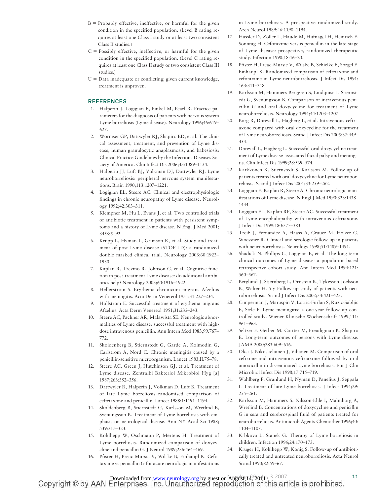- $B =$  Probably effective, ineffective, or harmful for the given condition in the specified population. (Level B rating requires at least one Class I study or at least two consistent Class II studies.)
- $C =$  Possibly effective, ineffective, or harmful for the given condition in the specified population. (Level C rating requires at least one Class II study or two consistent Class III studies.)
- $U = Data$  inadequate or conflicting; given current knowledge, treatment is unproven.

## **REFERENCES**

- 1. Halperin J, Logigian E, Finkel M, Pearl R. Practice parameters for the diagnosis of patients with nervous system Lyme borreliosis (Lyme disease). Neurology 1996;46:619– 627.
- 2. Wormser GP, Dattwyler RJ, Shapiro ED, et al. The clinical assessment, treatment, and prevention of Lyme disease, human granulocytic anaplasmosis, and babesiosis: Clinical Practice Guidelines by the Infectious Diseases Society of America. Clin Infect Dis 2006;43:1089–1134.
- 3. Halperin JJ, Luft BJ, Volkman DJ, Dattwyler RJ. Lyme neuroborreliosis: peripheral nervous system manifestations. Brain 1990;113:1207–1221.
- 4. Logigian EL, Steere AC. Clinical and electrophysiologic findings in chronic neuropathy of Lyme disease. Neurology 1992;42:303–311.
- 5. Klempner M, Hu L, Evans J, et al. Two controlled trials of antibiotic treatment in patients with persistent symptoms and a history of Lyme disease. N Engl J Med 2001; 345:85–92.
- 6. Krupp L, Hyman L, Grimson R, et al. Study and treatment of post Lyme disease (STOP-LD): a randomized double masked clinical trial. Neurology 2003;60:1923– 1930.
- 7. Kaplan R, Trevino R, Johnson G, et al. Cognitive function in post-treatment Lyme disease: do additional antibiotics help? Neurology 2003;60:1916–1922.
- 8. Hellerstrom S. Erythema chronicum migrans Afzelius with meningitis. Acta Derm Venereol 1951;31:227–234.
- 9. Hollstrom E. Successful treatment of erythema migrans Afzelius. Acta Derm Venereol 1951;31:235–243.
- 10. Steere AC, Pachner AR, Malawista SE. Neurologic abnormalities of Lyme disease: successful treatment with highdose intravenous penicillin. Ann Intern Med 1983;99:767– 772.
- 11. Skoldenberg B, Stiernstedt G, Garde A, Kolmodin G, Carlstrom A, Nord C. Chronic meningitis caused by a penicillin-sensitive microorganism. Lancet 1983;II:75–78.
- 12. Steere AC, Green J, Hutchinson GJ, et al. Treatment of Lyme disease. Zentralbl Bakteriol Mikrobiol Hyg [a] 1987;263:352–356.
- 13. Dattwyler R, Halperin J, Volkman D, Luft B. Treatment of late Lyme borreliosis–randomised comparison of ceftriaxone and penicillin. Lancet 1988;1:1191–1194.
- 14. Skoldenberg B, Stiernstedt G, Karlsson M, Wretlind B, Svenungsson B. Treatment of Lyme borreliosis with emphasis on neurological disease. Ann NY Acad Sci 1988; 539:317–323.
- 15. Kohlhepp W, Oschmann P, Mertens H. Treatment of Lyme borreliosis. Randomized comparison of doxycycline and penicillin G. J Neurol 1989;236:464–469.
- 16. Pfister H, Preac-Mursic V, Wilske B, Einhaupl K. Cefotaxime vs penicillin G for acute neurologic manifestations

in Lyme borreliosis. A prospective randomized study. Arch Neurol 1989;46:1190–1194.

- 17. Hassler D, Zoller L, Haude M, Hufnagel H, Heinrich F, Sonntag H. Cefotaxime versus penicillin in the late stage of Lyme disease: prospective, randomized therapeutic study. Infection 1990;18:16–20.
- 18. Pfister H, Preac-Mursic V, Wilske B, Schielke E, Sorgel F, Einhaupl K. Randomized comparison of ceftriaxone and cefotaxime in Lyme neuroborreliosis. J Infect Dis 1991; 163:311–318.
- 19. Karlsson M, Hammers-Berggren S, Lindquist L, Stiernstedt G, Svenungsson B. Comparison of intravenous penicillin G and oral doxycycline for treatment of Lyme neuroborreliosis. Neurology 1994;44:1203–1207.
- 20. Borg R, Dotevall L, Hagberg L, et al. Intravenous ceftriaxone compared with oral doxycycline for the treatment of Lyme neuroborreliosis. Scand J Infect Dis 2005;37:449– 454.
- 21. Dotevall L, Hagberg L. Successful oral doxycycline treatment of Lyme disease-associated facial palsy and meningitis. Clin Infect Dis 1999;28:569–574.
- 22. Karkkonen K, Stiernstedt S, Karlsson M. Follow-up of patients treated with oral doxycycline for Lyme neuroborreliosis. Scand J Infect Dis 2001;33:259–262.
- 23. Logigian E, Kaplan R, Steere A. Chronic neurologic manifestations of Lyme disease. N Engl J Med 1990;323:1438– 1444.
- 24. Logigian EL, Kaplan RF, Steere AC. Successful treatment of Lyme encephalopathy with intravenous ceftriaxone. J Infect Dis 1999;180:377–383.
- 25. Treib J, Fernandez A, Haass A, Grauer M, Holzer G, Woessner R. Clinical and serologic follow-up in patients with neuroborreliosis. Neurology 1998;51:1489–1491.
- 26. Shadick N, Phillips C, Logigian E, et al. The long-term clinical outcomes of Lyme disease: a population-based retrospective cohort study. Ann Intern Med 1994;121: 560–567.
- 27. Berglund J, Stjernberg L, Ornstein K, Tykesson-Joelsson K, Walter H. 5-y Follow-up study of patients with neuroborreliosis. Scand J Infect Dis 2002;34:421–425.
- 28. Cimperman J, Maraspin V, Lotric-Furlan S, Ruzic-Sabljic E, Strle F. Lyme meningitis: a one-year follow up controlled study. Wiener Klinische Wochenschrift 1999;111: 961–963.
- 29. Seltzer E, Gerber M, Cartter M, Freudigman K, Shapiro E. Long-term outcomes of persons with Lyme disease. JAMA 2000;283:609–616.
- 30. Oksi J, Nikoskelainen J, Viljanen M. Comparison of oral cefixime and intravenous ceftriaxone followed by oral amoxicillin in disseminated Lyme borreliosis. Eur J Clin Microbiol Infect Dis 1998;17:715–719.
- 31. Wahlberg P, Granlund H, Nyman D, Panelius J, Seppala I. Treatment of late Lyme borreliosis. J Infect 1994;29: 255–261.
- 32. Karlsson M, Hammers S, Nilsson-Ehle I, Malmborg A, Wretlind B. Concentrations of doxycycline and penicillin G in sera and cerebrospinal fluid of patients treated for neuroborreliosis. Antimicrob Agents Chemother 1996;40: 1104–1107.
- 33. Krbkova L, Stanek G. Therapy of Lyme borreliosis in children. Infection 1996;24:170–173.
- 34. Kruger H, Kohlhepp W, Konig S. Follow-up of antibiotically treated and untreated neuroborreliosis. Acta Neurol Scand 1990;82:59–67.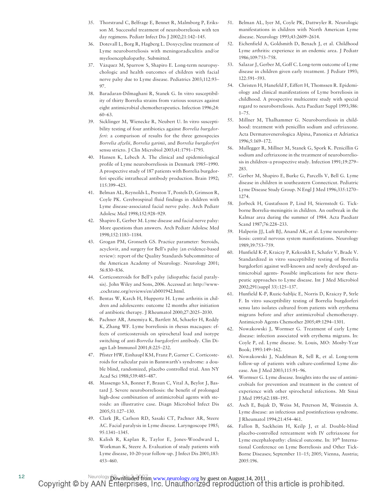- 35. Thorstrand C, Belfrage E, Bennet R, Malmborg P, Eriksson M. Successful treatment of neuroborreliosis with ten day regimens. Pediatr Infect Dis J 2002;21:142–145.
- 36. Dotevall L, Borg R, Hagberg L. Doxycycline treatment of Lyme neuroborreliosis with meningoradiculitis and/or myeloencephalopathy. Submitted.
- 37. Vázquez M, Sparrow S, Shapiro E. Long-term neuropsychologic and health outcomes of children with facial nerve palsy due to Lyme disease. Pediatrics 2003;112:93– 97.
- 38. Baradaran-Dilmaghani R, Stanek G. In vitro susceptibility of thirty Borrelia strains from various sources against eight antimicrobial chemotherapeutics. Infection 1996;24: 60–63.
- 39. Sicklinger M, Wienecke R, Neubert U. In vitro susceptibility testing of four antibiotics against *Borrelia burgdorferi*: a comparison of results for the three genospecies *Borrelia afzelii, Borrelia garinii*, and *Borrelia burgdorferi* sensu stricto. J Clin Microbiol 2003;41:1791–1793.
- 40. Hansen K, Lebech A. The clinical and epidemiological profile of Lyme neuroborreliosis in Denmark 1985–1990. A prospective study of 187 patients with Borrelia burgdorferi specific intrathecal antibody production. Brain 1992; 115:399–423.
- 41. Belman AL, Reynolds L, Preston T, Postels D, Grimson R, Coyle PK. Cerebrospinal fluid findings in children with Lyme disease-associated facial nerve palsy. Arch Pediatr Adolesc Med 1998;152:928–929.
- 42. Shapiro E, Gerber M. Lyme disease and facial nerve palsy: More questions than answers. Arch Pediatr Adolesc Med 1998;152:1183–1184.
- 43. Grogan PM, Gronseth GS. Practice parameter: Steroids, acyclovir, and surgery for Bell's palsy (an evidence-based review): report of the Quality Standards Subcommittee of the American Academy of Neurology. Neurology 2001; 56:830–836.
- 44. Corticosteroids for Bell's palsy (idiopathic facial paralysis). John Wiley and Sons, 2006. Accessed at: http://www- .cochrane.org/reviews/en/ab001942.html.
- 45. Bentas W, Karch H, Huppertz H. Lyme arthritis in children and adolescents: outcome 12 months after initiation of antibiotic therapy. J Rheumatol 2000;27:2025–2030.
- 46. Pachner AR, Amemiya K, Bartlett M, Schaefer H, Reddy K, Zhang WF. Lyme borreliosis in rhesus macaques: effects of corticosteroids on spirochetal load and isotype switching of anti-*Borrelia burgdorferi* antibody. Clin Diagn Lab Immunol 2001;8:225–232.
- 47. Pfister HW, Einhaupl KM, Franz P, Garner C. Corticosteroids for radicular pain in Bannwarth's syndrome: a double blind, randomized, placebo controlled trial. Ann NY Acad Sci 1988;539:485–487.
- 48. Massengo SA, Bonnet F, Braun C, Vital A, Beylot J, Bastard J. Severe neuroborreliosis: the benefit of prolonged high-dose combination of antimicrobial agents with steroids: an illustrative case. Diagn Microbiol Infect Dis 2005;51:127–130.
- 49. Clark JR, Carlson RD, Sasaki CT, Pachner AR, Steere AC. Facial paralysis in Lyme disease. Laryngoscope 1985; 95:1341–1345.
- 50. Kalish R, Kaplan R, Taylor E, Jones-Woodward L, Workman K, Steere A. Evaluation of study patients with Lyme disease, 10-20-year follow-up. J Infect Dis 2001;183: 453–460.
- 51. Belman AL, Iyer M, Coyle PK, Dattwyler R. Neurologic manifestations in children with North American Lyme disease. Neurology 1993;43:2609–2614.
- 52. Eichenfield A, Goldsmith D, Benach J, et al. Childhood Lyme arthritis: experience in an endemic area. J Pediatr 1986;109:753–758.
- 53. Salazar J, Gerber M, Goff C. Long-term outcome of Lyme disease in children given early treatment. J Pediatr 1993; 122:591–593.
- 54. Christen H, Hanefeld F, Eiffert H, Thomssen R. Epidemiology and clinical manifestations of Lyme borreliosis in childhood. A prospective multicentre study with special regard to neuroborreliosis. Acta Paediatr Suppl 1993;386: 1–75.
- 55. Millner M, Thalhammer G. Neuroborreliosis in childhood: treatment with penicillin sodium and ceftriaxone. Acta Dermatovenerologica Alpina, Panonica et Adriatica 1996;5:169–172.
- 56. Mullegger R, Millner M, Stanek G, Spork K. Penicillin G sodium and ceftriaxone in the treatment of neuroborreliosis in children–a prospective study. Infection 1991;19:279– 283.
- 57. Gerber M, Shapiro E, Burke G, Parcells V, Bell G. Lyme disease in children in southeastern Connecticut. Pediatric Lyme Disease Study Group. N Engl J Med 1996;335:1270– 1274.
- 58. Jorbeck H, Gustafsson P, Lind H, Stiernstedt G. Tickborne Borrelia-meningitis in children. An outbreak in the Kalmar area during the summer of 1984. Acta Paediatr Scand 1987;76:228–233.
- 59. Halperin JJ, Luft BJ, Anand AK, et al. Lyme neuroborreliosis: central nervous system manifestations. Neurology 1989;39:753–759.
- 60. Hunfield K-P, Kraiczy P, Kekoukh E, Schafer V, Brade V. Standardized in vitro susceptibility testing of Borrelia burgdorferi against well-known and newly developed antimicrobial agents- Possible implications for new therapeutic approaches to Lyme disease. Int J Med Microbiol 2002;291(suppl 33):125–137.
- 61. Hunfield K-P, Ruzic-Sabljic E, Norris D, Kraiczy P, Strle F. In vitro susceptibility testing of Borrelia burgdorferi sensu lato isolates cultured from patients with erythema migrans before and after antimicrobial chemotherapy. Antimicrob Agents Chemother 2005;49:1294–1301.
- 62. Nowakowski J, Wormser G. Treatment of early Lyme disease: infection associated with erythema migrans. In: Coyle P, ed. Lyme disease. St. Louis, MO: Mosby-Year Book; 1993:149–162.
- 63. Nowakowski J, Nadelman R, Sell R, et al. Long-term follow-up of patients with culture-confirmed Lyme disease. Am J Med 2003;115:91–96.
- 64. Wormser G. Lyme disease. Insights into the use of antimicrobials for prevention and treatment in the context of experience with other spirochetal infections. Mt Sinai J Med 1995;62:188–195.
- 65. Asch E, Bujak D, Weiss M, Peterson M, Weinstein A. Lyme disease: an infectious and postinfectious syndrome. J Rheumatol 1994;21:454–461.
- 66. Fallon B, Sackheim H, Keilp J, et al. Double-blind placebo-controlled retreatment with IV ceftriaxone for Lyme encephalopathy: clinical outcome. In:  $10<sup>th</sup>$  International Conference on Lyme Borreliosis and Other Tick-Borne Diseases; September 11–15; 2005; Vienna, Austria; 2005:196.